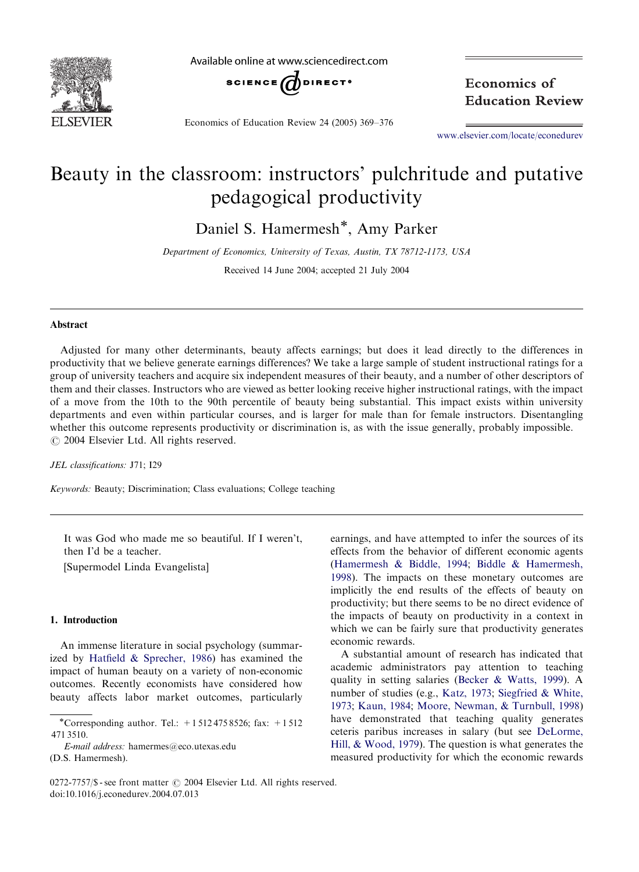

Available online at www.sciencedirect.com



Economics of Education Review 24 (2005) 369–376

Economics of **Education Review** 

<www.elsevier.com/locate/econedurev>

# Beauty in the classroom: instructors' pulchritude and putative pedagogical productivity

Daniel S. Hamermesh\*, Amy Parker

Department of Economics, University of Texas, Austin, TX 78712-1173, USA

Received 14 June 2004; accepted 21 July 2004

# Abstract

Adjusted for many other determinants, beauty affects earnings; but does it lead directly to the differences in productivity that we believe generate earnings differences? We take a large sample of student instructional ratings for a group of university teachers and acquire six independent measures of their beauty, and a number of other descriptors of them and their classes. Instructors who are viewed as better looking receive higher instructional ratings, with the impact of a move from the 10th to the 90th percentile of beauty being substantial. This impact exists within university departments and even within particular courses, and is larger for male than for female instructors. Disentangling whether this outcome represents productivity or discrimination is, as with the issue generally, probably impossible.  $O$  2004 Elsevier Ltd. All rights reserved.

JEL classifications: J71; I29

Keywords: Beauty; Discrimination; Class evaluations; College teaching

It was God who made me so beautiful. If I weren't, then I'd be a teacher. [Supermodel Linda Evangelista]

# 1. Introduction

An immense literature in social psychology (summarized by [Hatfield](#page-7-0) [& Sprecher, 1986\)](#page-7-0) has examined the impact of human beauty on a variety of non-economic outcomes. Recently economists have considered how beauty affects labor market outcomes, particularly

earnings, and have attempted to infer the sources of its effects from the behavior of different economic agents ([Hamermesh](#page-7-0) [& Biddle, 1994](#page-7-0); [Biddle & Hamermesh,](#page-7-0) [1998\)](#page-7-0). The impacts on these monetary outcomes are implicitly the end results of the effects of beauty on productivity; but there seems to be no direct evidence of the impacts of beauty on productivity in a context in which we can be fairly sure that productivity generates economic rewards.

A substantial amount of research has indicated that academic administrators pay attention to teaching quality in setting salaries [\(Becker& Watts, 1999\)](#page-7-0). A number of studies (e.g., [Katz, 1973;](#page-7-0) [Siegfried](#page-7-0)  $&$  White, [1973;](#page-7-0) [Kaun, 1984;](#page-7-0) [Moore, Newman, & Turnbull, 1998\)](#page-7-0) have demonstrated that teaching quality generates ceteris paribus increases in salary (but see [DeLorme,](#page-7-0) [Hill,](#page-7-0) [& Wood, 1979](#page-7-0)). The question is what generates the measured productivity for which the economic rewards

<sup>\*</sup>Corresponding author. Tel.:  $+15124758526$ ; fax:  $+1512$ 471 3510.

E-mail address: hamermes@eco.utexas.edu (D.S. Hamermesh).

<sup>0272-7757/\$ -</sup> see front matter  $\odot$  2004 Elsevier Ltd. All rights reserved. doi:10.1016/j.econedurev.2004.07.013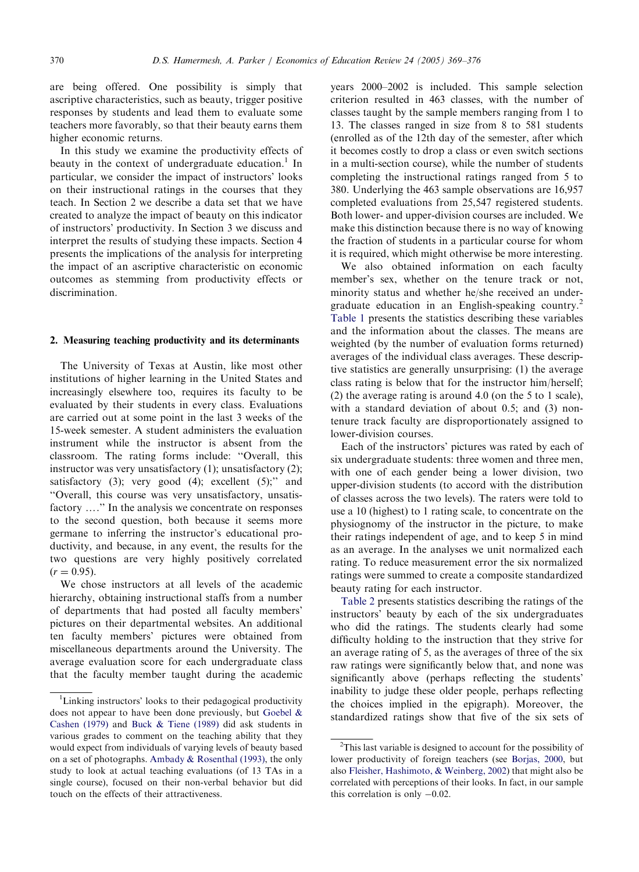are being offered. One possibility is simply that ascriptive characteristics, such as beauty, trigger positive responses by students and lead them to evaluate some teachers more favorably, so that their beauty earns them higher economic returns.

In this study we examine the productivity effects of beauty in the context of undergraduate education.<sup>1</sup> In particular, we consider the impact of instructors' looks on their instructional ratings in the courses that they teach. In Section 2 we describe a data set that we have created to analyze the impact of beauty on this indicator of instructors' productivity. In Section 3 we discuss and interpret the results of studying these impacts. Section 4 presents the implications of the analysis for interpreting the impact of an ascriptive characteristic on economic outcomes as stemming from productivity effects or discrimination.

#### 2. Measuring teaching productivity and its determinants

The University of Texas at Austin, like most other institutions of higher learning in the United States and increasingly elsewhere too, requires its faculty to be evaluated by their students in every class. Evaluations are carried out at some point in the last 3 weeks of the 15-week semester. A student administers the evaluation instrument while the instructor is absent from the classroom. The rating forms include: ''Overall, this instructor was very unsatisfactory (1); unsatisfactory (2); satisfactory (3); very good (4); excellent  $(5)$ ;" and ''Overall, this course was very unsatisfactory, unsatisfactory ...." In the analysis we concentrate on responses to the second question, both because it seems more germane to inferring the instructor's educational productivity, and because, in any event, the results for the two questions are very highly positively correlated  $(r = 0.95)$ .

We chose instructors at all levels of the academic hierarchy, obtaining instructional staffs from a number of departments that had posted all faculty members' pictures on their departmental websites. An additional ten faculty members' pictures were obtained from miscellaneous departments around the University. The average evaluation score for each undergraduate class that the faculty member taught during the academic years 2000–2002 is included. This sample selection criterion resulted in 463 classes, with the number of classes taught by the sample members ranging from 1 to 13. The classes ranged in size from 8 to 581 students (enrolled as of the 12th day of the semester, after which it becomes costly to drop a class or even switch sections in a multi-section course), while the number of students completing the instructional ratings ranged from 5 to 380. Underlying the 463 sample observations are 16,957 completed evaluations from 25,547 registered students. Both lower- and upper-division courses are included. We make this distinction because there is no way of knowing the fraction of students in a particular course for whom it is required, which might otherwise be more interesting.

We also obtained information on each faculty member's sex, whether on the tenure track or not. minority status and whether he/she received an undergraduate education in an English-speaking country.<sup>2</sup> [Table 1](#page-2-0) presents the statistics describing these variables and the information about the classes. The means are weighted (by the number of evaluation forms returned) averages of the individual class averages. These descriptive statistics are generally unsurprising: (1) the average class rating is below that for the instructor him/herself; (2) the average rating is around 4.0 (on the 5 to 1 scale), with a standard deviation of about 0.5; and (3) nontenure track faculty are disproportionately assigned to lower-division courses.

Each of the instructors' pictures was rated by each of six undergraduate students: three women and three men, with one of each gender being a lower division, two upper-division students (to accord with the distribution of classes across the two levels). The raters were told to use a 10 (highest) to 1 rating scale, to concentrate on the physiognomy of the instructor in the picture, to make their ratings independent of age, and to keep 5 in mind as an average. In the analyses we unit normalized each rating. To reduce measurement error the six normalized ratings were summed to create a composite standardized beauty rating for each instructor.

[Table 2](#page-2-0) presents statistics describing the ratings of the instructors' beauty by each of the six undergraduates who did the ratings. The students clearly had some difficulty holding to the instruction that they strive for an average rating of 5, as the averages of three of the six raw ratings were significantly below that, and none was significantly above (perhaps reflecting the students' inability to judge these older people, perhaps reflecting the choices implied in the epigraph). Moreover, the standardized ratings show that five of the six sets of

<sup>&</sup>lt;sup>1</sup>Linking instructors' looks to their pedagogical productivity does not appear to have been done previously, but Goebel  $\&$ [Cashen \(1979\)](#page-7-0) and [Buck](#page-7-0) [& Tiene \(1989\)](#page-7-0) did ask students in various grades to comment on the teaching ability that they would expect from individuals of varying levels of beauty based on a set of photographs. [Ambady](#page-7-0) [& Rosenthal \(1993\),](#page-7-0) the only study to look at actual teaching evaluations (of 13 TAs in a single course), focused on their non-verbal behavior but did touch on the effects of their attractiveness.

 $2$ This last variable is designed to account for the possibility of lower productivity of foreign teachers (see [Borjas, 2000,](#page-7-0) but also [Fleisher, Hashimoto, & Weinberg, 2002](#page-7-0)) that might also be correlated with perceptions of their looks. In fact, in our sample this correlation is only  $-0.02$ .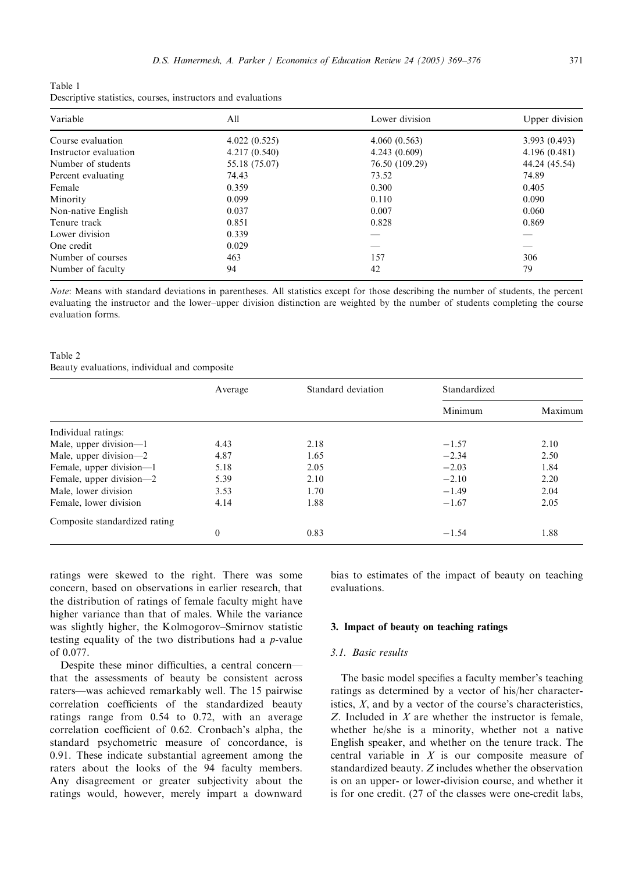<span id="page-2-0"></span>Table 1 Descriptive statistics, courses, instructors and evaluations

| Variable              | All           | Lower division | Upper division |
|-----------------------|---------------|----------------|----------------|
| Course evaluation     | 4.022(0.525)  | 4.060(0.563)   | 3.993 (0.493)  |
| Instructor evaluation | 4.217(0.540)  | 4.243(0.609)   | 4.196(0.481)   |
| Number of students    | 55.18 (75.07) | 76.50 (109.29) | 44.24 (45.54)  |
| Percent evaluating    | 74.43         | 73.52          | 74.89          |
| Female                | 0.359         | 0.300          | 0.405          |
| Minority              | 0.099         | 0.110          | 0.090          |
| Non-native English    | 0.037         | 0.007          | 0.060          |
| Tenure track          | 0.851         | 0.828          | 0.869          |
| Lower division        | 0.339         |                |                |
| One credit            | 0.029         |                |                |
| Number of courses     | 463           | 157            | 306            |
| Number of faculty     | 94            | 42             | 79             |

Note: Means with standard deviations in parentheses. All statistics except for those describing the number of students, the percent evaluating the instructor and the lower–upper division distinction are weighted by the number of students completing the course evaluation forms.

# Table 2 Beauty evaluations, individual and composite

|                               | Average      | Standard deviation | Standardized |         |
|-------------------------------|--------------|--------------------|--------------|---------|
|                               |              |                    | Minimum      | Maximum |
| Individual ratings:           |              |                    |              |         |
| Male, upper division- $1$     | 4.43         | 2.18               | $-1.57$      | 2.10    |
| Male, upper division $-2$     | 4.87         | 1.65               | $-2.34$      | 2.50    |
| Female, upper division-1      | 5.18         | 2.05               | $-2.03$      | 1.84    |
| Female, upper division-2      | 5.39         | 2.10               | $-2.10$      | 2.20    |
| Male, lower division          | 3.53         | 1.70               | $-1.49$      | 2.04    |
| Female, lower division        | 4.14         | 1.88               | $-1.67$      | 2.05    |
| Composite standardized rating |              |                    |              |         |
|                               | $\mathbf{0}$ | 0.83               | $-1.54$      | 1.88    |

ratings were skewed to the right. There was some concern, based on observations in earlier research, that the distribution of ratings of female faculty might have higher variance than that of males. While the variance was slightly higher, the Kolmogorov–Smirnov statistic testing equality of the two distributions had a p-value of 0.077.

Despite these minor difficulties, a central concern that the assessments of beauty be consistent across raters—was achieved remarkably well. The 15 pairwise correlation coefficients of the standardized beauty ratings range from 0.54 to 0.72, with an average correlation coefficient of 0.62. Cronbach's alpha, the standard psychometric measure of concordance, is 0.91. These indicate substantial agreement among the raters about the looks of the 94 faculty members. Any disagreement or greater subjectivity about the ratings would, however, merely impart a downward bias to estimates of the impact of beauty on teaching evaluations.

#### 3. Impact of beauty on teaching ratings

## 3.1. Basic results

The basic model specifies a faculty member's teaching ratings as determined by a vector of his/her characteristics, X, and by a vector of the course's characteristics,  $Z$ . Included in  $X$  are whether the instructor is female, whether he/she is a minority, whether not a native English speaker, and whether on the tenure track. The central variable in  $X$  is our composite measure of standardized beauty.  $Z$  includes whether the observation is on an upper- or lower-division course, and whether it is for one credit. (27 of the classes were one-credit labs,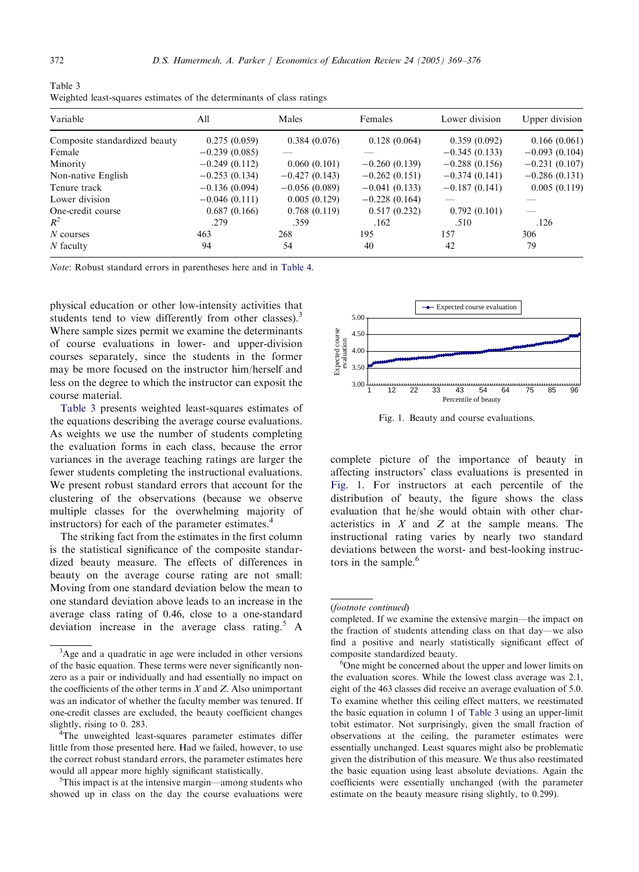<span id="page-3-0"></span>

| Table 3                                                               |  |  |  |
|-----------------------------------------------------------------------|--|--|--|
| Weighted least-squares estimates of the determinants of class ratings |  |  |  |

| Variable                      | All             | Males           | Females         | Lower division  | Upper division  |
|-------------------------------|-----------------|-----------------|-----------------|-----------------|-----------------|
| Composite standardized beauty | 0.275(0.059)    | 0.384(0.076)    | 0.128(0.064)    | 0.359(0.092)    | 0.166(0.061)    |
| Female                        | $-0.239(0.085)$ |                 |                 | $-0.345(0.133)$ | $-0.093(0.104)$ |
| Minority                      | $-0.249(0.112)$ | 0.060(0.101)    | $-0.260(0.139)$ | $-0.288(0.156)$ | $-0.231(0.107)$ |
| Non-native English            | $-0.253(0.134)$ | $-0.427(0.143)$ | $-0.262(0.151)$ | $-0.374(0.141)$ | $-0.286(0.131)$ |
| Tenure track                  | $-0.136(0.094)$ | $-0.056(0.089)$ | $-0.041(0.133)$ | $-0.187(0.141)$ | 0.005(0.119)    |
| Lower division                | $-0.046(0.111)$ | 0.005(0.129)    | $-0.228(0.164)$ |                 |                 |
| One-credit course             | 0.687(0.166)    | 0.768(0.119)    | 0.517(0.232)    | 0.792(0.101)    |                 |
| $R^2$                         | .279            | .359            | .162            | .510            | .126            |
| $N$ courses                   | 463             | 268             | 195             | 157             | 306             |
| $N$ faculty                   | 94              | 54              | 40              | 42              | 79              |

Note: Robust standard errors in parentheses here and in [Table 4](#page-5-0).

physical education or other low-intensity activities that students tend to view differently from other classes).<sup>3</sup> Where sample sizes permit we examine the determinants of course evaluations in lower- and upper-division courses separately, since the students in the former may be more focused on the instructor him/herself and less on the degree to which the instructor can exposit the course material.

Table 3 presents weighted least-squares estimates of the equations describing the average course evaluations. As weights we use the number of students completing the evaluation forms in each class, because the error variances in the average teaching ratings are larger the fewer students completing the instructional evaluations. We present robust standard errors that account for the clustering of the observations (because we observe multiple classes for the overwhelming majority of instructors) for each of the parameter estimates.<sup>4</sup>

The striking fact from the estimates in the first column is the statistical significance of the composite standardized beauty measure. The effects of differences in beauty on the average course rating are not small: Moving from one standard deviation below the mean to one standard deviation above leads to an increase in the average class rating of 0.46, close to a one-standard deviation increase in the average class rating.<sup>5</sup> A



Fig. 1. Beauty and course evaluations.

complete picture of the importance of beauty in affecting instructors' class evaluations is presented in Fig. 1. For instructors at each percentile of the distribution of beauty, the figure shows the class evaluation that he/she would obtain with other characteristics in  $X$  and  $Z$  at the sample means. The instructional rating varies by nearly two standard deviations between the worst- and best-looking instructors in the sample.<sup>6</sup>

<sup>&</sup>lt;sup>3</sup>Age and a quadratic in age were included in other versions of the basic equation. These terms were never significantly nonzero as a pair or individually and had essentially no impact on the coefficients of the other terms in  $X$  and  $Z$ . Also unimportant was an indicator of whether the faculty member was tenured. If one-credit classes are excluded, the beauty coefficient changes slightly, rising to 0. 283.

<sup>&</sup>lt;sup>4</sup>The unweighted least-squares parameter estimates differ little from those presented here. Had we failed, however, to use the correct robust standard errors, the parameter estimates here would all appear more highly significant statistically.

 $5$ This impact is at the intensive margin—among students who showed up in class on the day the course evaluations were

<sup>(</sup>footnote continued)

completed. If we examine the extensive margin—the impact on the fraction of students attending class on that day—we also find a positive and nearly statistically significant effect of composite standardized beauty.

<sup>&</sup>lt;sup>6</sup>One might be concerned about the upper and lower limits on the evaluation scores. While the lowest class average was 2.1, eight of the 463 classes did receive an average evaluation of 5.0. To examine whether this ceiling effect matters, we reestimated the basic equation in column 1 of Table 3 using an upper-limit tobit estimator. Not surprisingly, given the small fraction of observations at the ceiling, the parameter estimates were essentially unchanged. Least squares might also be problematic given the distribution of this measure. We thus also reestimated the basic equation using least absolute deviations. Again the coefficients were essentially unchanged (with the parameter estimate on the beauty measure rising slightly, to 0.299).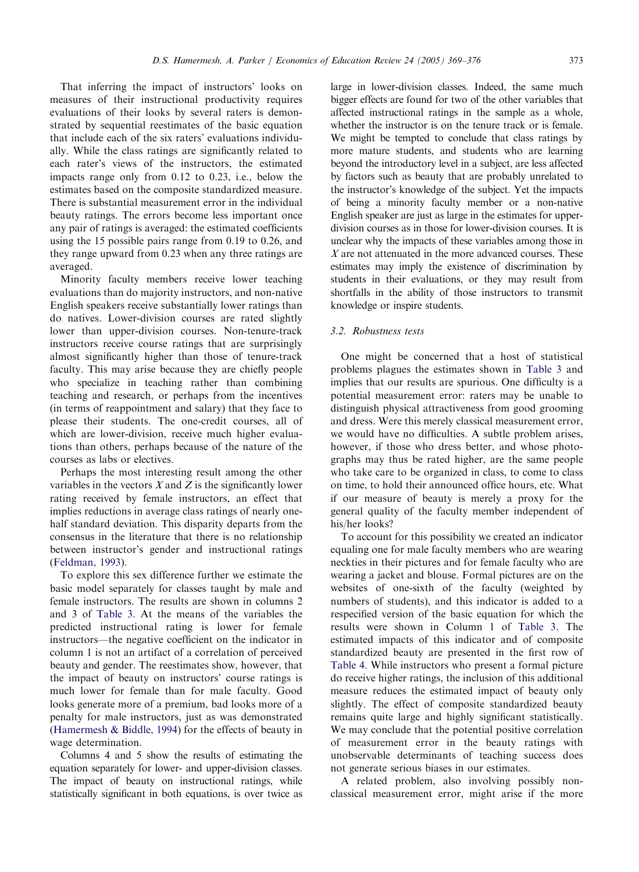That inferring the impact of instructors' looks on measures of their instructional productivity requires evaluations of their looks by several raters is demonstrated by sequential reestimates of the basic equation that include each of the six raters' evaluations individually. While the class ratings are significantly related to each rater's views of the instructors, the estimated impacts range only from 0.12 to 0.23, i.e., below the estimates based on the composite standardized measure. There is substantial measurement error in the individual beauty ratings. The errors become less important once any pair of ratings is averaged: the estimated coefficients using the 15 possible pairs range from 0.19 to 0.26, and they range upward from 0.23 when any three ratings are averaged.

Minority faculty members receive lower teaching evaluations than do majority instructors, and non-native English speakers receive substantially lower ratings than do natives. Lower-division courses are rated slightly lower than upper-division courses. Non-tenure-track instructors receive course ratings that are surprisingly almost significantly higher than those of tenure-track faculty. This may arise because they are chiefly people who specialize in teaching rather than combining teaching and research, or perhaps from the incentives (in terms of reappointment and salary) that they face to please their students. The one-credit courses, all of which are lower-division, receive much higher evaluations than others, perhaps because of the nature of the courses as labs or electives.

Perhaps the most interesting result among the other variables in the vectors  $X$  and  $Z$  is the significantly lower rating received by female instructors, an effect that implies reductions in average class ratings of nearly onehalf standard deviation. This disparity departs from the consensus in the literature that there is no relationship between instructor's gender and instructional ratings ([Feldman, 1993\)](#page-7-0).

To explore this sex difference further we estimate the basic model separately for classes taught by male and female instructors. The results are shown in columns 2 and 3 of [Table 3](#page-3-0). At the means of the variables the predicted instructional rating is lower for female instructors—the negative coefficient on the indicator in column 1 is not an artifact of a correlation of perceived beauty and gender. The reestimates show, however, that the impact of beauty on instructors' course ratings is much lower for female than for male faculty. Good looks generate more of a premium, bad looks more of a penalty for male instructors, just as was demonstrated ([Hamermesh](#page-7-0)  $& Biddle$ , 1994) for the effects of beauty in wage determination.

Columns 4 and 5 show the results of estimating the equation separately for lower- and upper-division classes. The impact of beauty on instructional ratings, while statistically significant in both equations, is over twice as large in lower-division classes. Indeed, the same much bigger effects are found for two of the other variables that affected instructional ratings in the sample as a whole, whether the instructor is on the tenure track or is female. We might be tempted to conclude that class ratings by more mature students, and students who are learning beyond the introductory level in a subject, are less affected by factors such as beauty that are probably unrelated to the instructor's knowledge of the subject. Yet the impacts of being a minority faculty member or a non-native English speaker are just as large in the estimates for upperdivision courses as in those for lower-division courses. It is unclear why the impacts of these variables among those in X are not attenuated in the more advanced courses. These estimates may imply the existence of discrimination by students in their evaluations, or they may result from shortfalls in the ability of those instructors to transmit knowledge or inspire students.

# 3.2. Robustness tests

One might be concerned that a host of statistical problems plagues the estimates shown in [Table 3](#page-3-0) and implies that our results are spurious. One difficulty is a potential measurement error: raters may be unable to distinguish physical attractiveness from good grooming and dress. Were this merely classical measurement error, we would have no difficulties. A subtle problem arises, however, if those who dress better, and whose photographs may thus be rated higher, are the same people who take care to be organized in class, to come to class on time, to hold their announced office hours, etc. What if our measure of beauty is merely a proxy for the general quality of the faculty member independent of his/her looks?

To account for this possibility we created an indicator equaling one for male faculty members who are wearing neckties in their pictures and for female faculty who are wearing a jacket and blouse. Formal pictures are on the websites of one-sixth of the faculty (weighted by numbers of students), and this indicator is added to a respecified version of the basic equation for which the results were shown in Column 1 of [Table 3.](#page-3-0) The estimated impacts of this indicatorand of composite standardized beauty are presented in the first row of [Table 4.](#page-5-0) While instructors who present a formal picture do receive higher ratings, the inclusion of this additional measure reduces the estimated impact of beauty only slightly. The effect of composite standardized beauty remains quite large and highly significant statistically. We may conclude that the potential positive correlation of measurement error in the beauty ratings with unobservable determinants of teaching success does not generate serious biases in our estimates.

A related problem, also involving possibly nonclassical measurement error, might arise if the more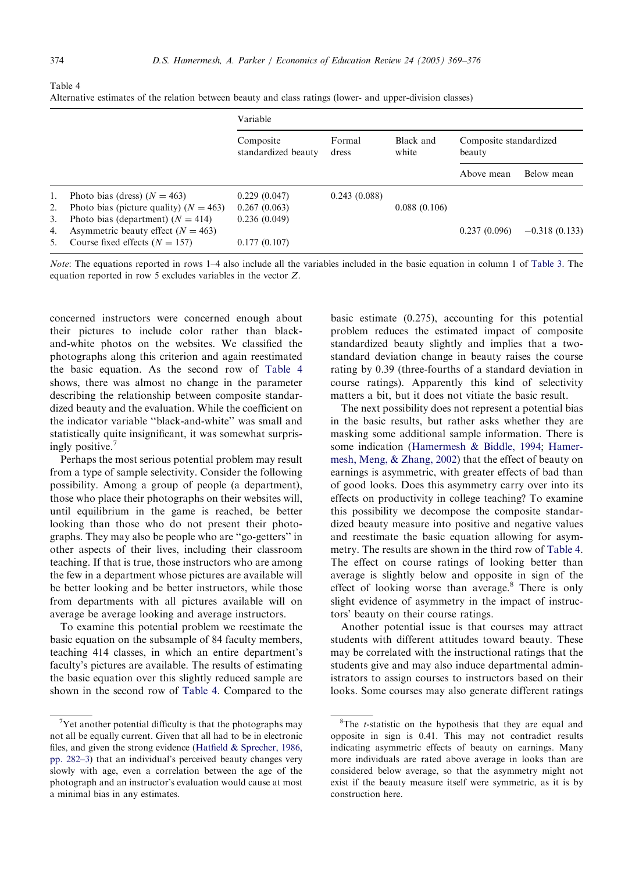|    |                                          | Variable                         |                 |                    |                                  |                 |  |
|----|------------------------------------------|----------------------------------|-----------------|--------------------|----------------------------------|-----------------|--|
|    |                                          | Composite<br>standardized beauty | Formal<br>dress | Black and<br>white | Composite standardized<br>beauty |                 |  |
|    |                                          |                                  |                 |                    | Above mean                       | Below mean      |  |
| 1. | Photo bias (dress) $(N = 463)$           | 0.229(0.047)                     | 0.243(0.088)    |                    |                                  |                 |  |
| 2. | Photo bias (picture quality) $(N = 463)$ | 0.267(0.063)                     |                 | 0.088(0.106)       |                                  |                 |  |
| 3. | Photo bias (department) $(N = 414)$      | 0.236(0.049)                     |                 |                    |                                  |                 |  |
| 4. | Asymmetric beauty effect $(N = 463)$     |                                  |                 |                    | 0.237(0.096)                     | $-0.318(0.133)$ |  |
| 5. | Course fixed effects $(N = 157)$         | 0.177(0.107)                     |                 |                    |                                  |                 |  |

<span id="page-5-0"></span>Table 4 Alternative estimates of the relation between beauty and class ratings (lower- and upper-division classes)

Note: The equations reported in rows 1–4 also include all the variables included in the basic equation in column 1 of [Table 3.](#page-3-0) The equation reported in row 5 excludes variables in the vector Z.

concerned instructors were concerned enough about their pictures to include color rather than blackand-white photos on the websites. We classified the photographs along this criterion and again reestimated the basic equation. As the second row of Table 4 shows, there was almost no change in the parameter describing the relationship between composite standardized beauty and the evaluation. While the coefficient on the indicator variable "black-and-white" was small and statistically quite insignificant, it was somewhat surprisingly positive.<sup>7</sup>

Perhaps the most serious potential problem may result from a type of sample selectivity. Consider the following possibility. Among a group of people (a department), those who place their photographs on their websites will, until equilibrium in the game is reached, be better looking than those who do not present their photographs. They may also be people who are ''go-getters'' in other aspects of their lives, including their classroom teaching. If that is true, those instructors who are among the few in a department whose pictures are available will be better looking and be better instructors, while those from departments with all pictures available will on average be average looking and average instructors.

To examine this potential problem we reestimate the basic equation on the subsample of 84 faculty members, teaching 414 classes, in which an entire department's faculty's pictures are available. The results of estimating the basic equation over this slightly reduced sample are shown in the second row of Table 4. Compared to the basic estimate  $(0.275)$ , accounting for this potential problem reduces the estimated impact of composite standardized beauty slightly and implies that a twostandard deviation change in beauty raises the course rating by 0.39 (three-fourths of a standard deviation in course ratings). Apparently this kind of selectivity matters a bit, but it does not vitiate the basic result.

The next possibility does not represent a potential bias in the basic results, but rather asks whether they are masking some additional sample information. There is some indication ([Hamermesh & Biddle, 1994;](#page-7-0) [Hamer](#page-7-0)[mesh, Meng, & Zhang, 2002](#page-7-0)) that the effect of beauty on earnings is asymmetric, with greater effects of bad than of good looks. Does this asymmetry carry over into its effects on productivity in college teaching? To examine this possibility we decompose the composite standardized beauty measure into positive and negative values and reestimate the basic equation allowing for asymmetry. The results are shown in the third row of Table 4. The effect on course ratings of looking better than average is slightly below and opposite in sign of the effect of looking worse than average.<sup>8</sup> There is only slight evidence of asymmetry in the impact of instructors' beauty on their course ratings.

Another potential issue is that courses may attract students with different attitudes toward beauty. These may be correlated with the instructional ratings that the students give and may also induce departmental administrators to assign courses to instructors based on their looks. Some courses may also generate different ratings

 $7$ Yet another potential difficulty is that the photographs may not all be equally current. Given that all had to be in electronic files, and given the strong evidence ([Hatfield & Sprecher, 1986,](#page-7-0) [pp. 282–3](#page-7-0)) that an individual's perceived beauty changes very slowly with age, even a correlation between the age of the photograph and an instructor's evaluation would cause at most a minimal bias in any estimates.

 ${}^{8}$ The *t*-statistic on the hypothesis that they are equal and opposite in sign is 0.41. This may not contradict results indicating asymmetric effects of beauty on earnings. Many more individuals are rated above average in looks than are considered below average, so that the asymmetry might not exist if the beauty measure itself were symmetric, as it is by construction here.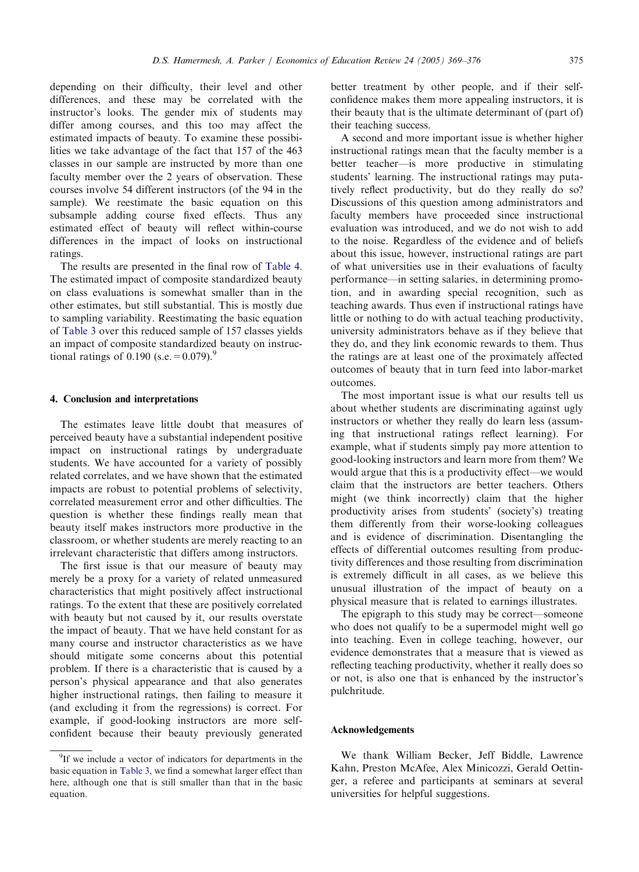depending on their difficulty, their level and other differences, and these may be correlated with the instructor's looks. The gender mix of students may differ among courses, and this too may affect the estimated impacts of beauty. To examine these possibilities we take advantage of the fact that 157 of the 463 classes in our sample are instructed by more than one faculty member over the 2 years of observation. These courses involve 54 different instructors (of the 94 in the sample). We reestimate the basic equation on this subsample adding course fixed effects. Thus any estimated effect of beauty will reflect within-course differences in the impact of looks on instructional ratings.

The results are presented in the final row of [Table 4](#page-5-0). The estimated impact of composite standardized beauty on class evaluations is somewhat smaller than in the other estimates, but still substantial. This is mostly due to sampling variability. Reestimating the basic equation of [Table 3](#page-3-0) over this reduced sample of 157 classes yields an impact of composite standardized beauty on instructional ratings of 0.190 (s.e. =  $0.079$ ).<sup>9</sup>

#### 4. Conclusion and interpretations

The estimates leave little doubt that measures of perceived beauty have a substantial independent positive impact on instructional ratings by undergraduate students. We have accounted for a variety of possibly related correlates, and we have shown that the estimated impacts are robust to potential problems of selectivity, correlated measurement error and other difficulties. The question is whether these findings really mean that beauty itself makes instructors more productive in the classroom, or whether students are merely reacting to an irrelevant characteristic that differs among instructors.

The first issue is that our measure of beauty may merely be a proxy for a variety of related unmeasured characteristics that might positively affect instructional ratings. To the extent that these are positively correlated with beauty but not caused by it, our results overstate the impact of beauty. That we have held constant foras many course and instructor characteristics as we have should mitigate some concerns about this potential problem. If there is a characteristic that is caused by a person's physical appearance and that also generates higher instructional ratings, then failing to measure it (and excluding it from the regressions) is correct. For example, if good-looking instructors are more selfconfident because their beauty previously generated better treatment by other people, and if their selfconfidence makes them more appealing instructors, it is their beauty that is the ultimate determinant of (part of) their teaching success.

A second and more important issue is whether higher instructional ratings mean that the faculty member is a better teacher—is more productive in stimulating students' learning. The instructional ratings may putatively reflect productivity, but do they really do so? Discussions of this question among administrators and faculty members have proceeded since instructional evaluation was introduced, and we do not wish to add to the noise. Regardless of the evidence and of beliefs about this issue, however, instructional ratings are part of what universities use in their evaluations of faculty performance—in setting salaries, in determining promotion, and in awarding special recognition, such as teaching awards. Thus even if instructional ratings have little or nothing to do with actual teaching productivity, university administrators behave as if they believe that they do, and they link economic rewards to them. Thus the ratings are at least one of the proximately affected outcomes of beauty that in turn feed into labor-market outcomes.

The most important issue is what our results tell us about whether students are discriminating against ugly instructors or whether they really do learn less (assuming that instructional ratings reflect learning). For example, what if students simply pay more attention to good-looking instructors and learn more from them? We would argue that this is a productivity effect—we would claim that the instructors are better teachers. Others might (we think incorrectly) claim that the higher productivity arises from students' (society's) treating them differently from their worse-looking colleagues and is evidence of discrimination. Disentangling the effects of differential outcomes resulting from productivity differences and those resulting from discrimination is extremely difficult in all cases, as we believe this unusual illustration of the impact of beauty on a physical measure that is related to earnings illustrates.

The epigraph to this study may be correct—someone who does not qualify to be a supermodel might well go into teaching. Even in college teaching, however, our evidence demonstrates that a measure that is viewed as reflecting teaching productivity, whether it really does so or not, is also one that is enhanced by the instructor's pulchritude.

## Acknowledgements

We thank William Becker, Jeff Biddle, Lawrence Kahn, Preston McAfee, Alex Minicozzi, Gerald Oettinger, a referee and participants at seminars at several universities for helpful suggestions.

<sup>&</sup>lt;sup>9</sup>If we include a vector of indicators for departments in the basic equation in [Table 3](#page-3-0), we find a somewhat larger effect than here, although one that is still smaller than that in the basic equation.